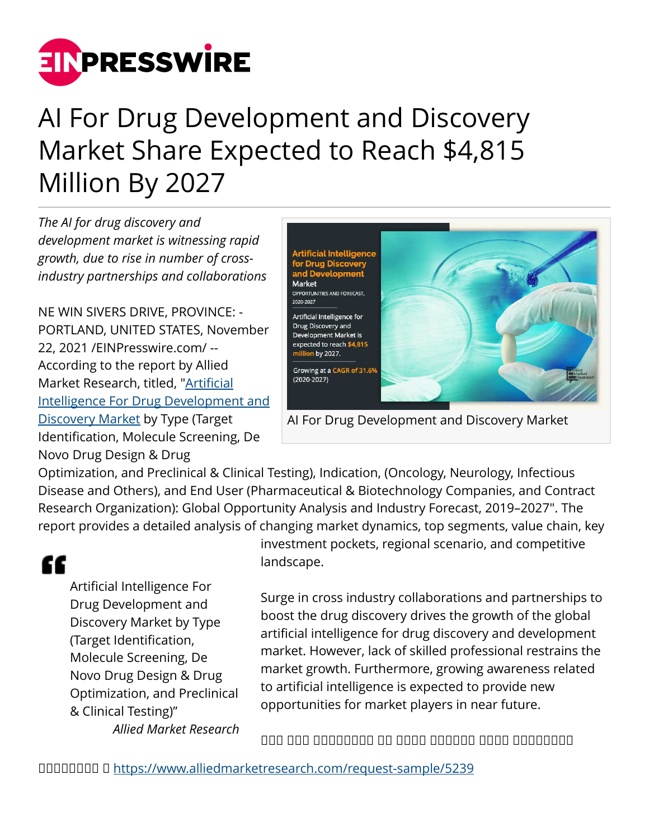

# AI For Drug Development and Discovery Market Share Expected to Reach \$4,815 Million By 2027

*The AI for drug discovery and development market is witnessing rapid growth, due to rise in number of crossindustry partnerships and collaborations*

NE WIN SIVERS DRIVE, PROVINCE: - PORTLAND, UNITED STATES, November 22, 2021 /[EINPresswire.com/](http://www.einpresswire.com) -- According to the report by Allied Market Research, titled, ["Artificial](https://www.alliedmarketresearch.com/artificial-intelligence-for-drug-development-and-discovery-market) [Intelligence For Drug Development and](https://www.alliedmarketresearch.com/artificial-intelligence-for-drug-development-and-discovery-market) [Discovery Market](https://www.alliedmarketresearch.com/artificial-intelligence-for-drug-development-and-discovery-market) by Type (Target Identification, Molecule Screening, De Novo Drug Design & Drug



AI For Drug Development and Discovery Market

Optimization, and Preclinical & Clinical Testing), Indication, (Oncology, Neurology, Infectious Disease and Others), and End User (Pharmaceutical & Biotechnology Companies, and Contract Research Organization): Global Opportunity Analysis and Industry Forecast, 2019–2027". The report provides a detailed analysis of changing market dynamics, top segments, value chain, key

# "

Artificial Intelligence For Drug Development and Discovery Market by Type (Target Identification, Molecule Screening, De Novo Drug Design & Drug Optimization, and Preclinical & Clinical Testing)" *Allied Market Research*

investment pockets, regional scenario, and competitive landscape.

Surge in cross industry collaborations and partnerships to boost the drug discovery drives the growth of the global artificial intelligence for drug discovery and development market. However, lack of skilled professional restrains the market growth. Furthermore, growing awareness related to artificial intelligence is expected to provide new opportunities for market players in near future.

 $\Box$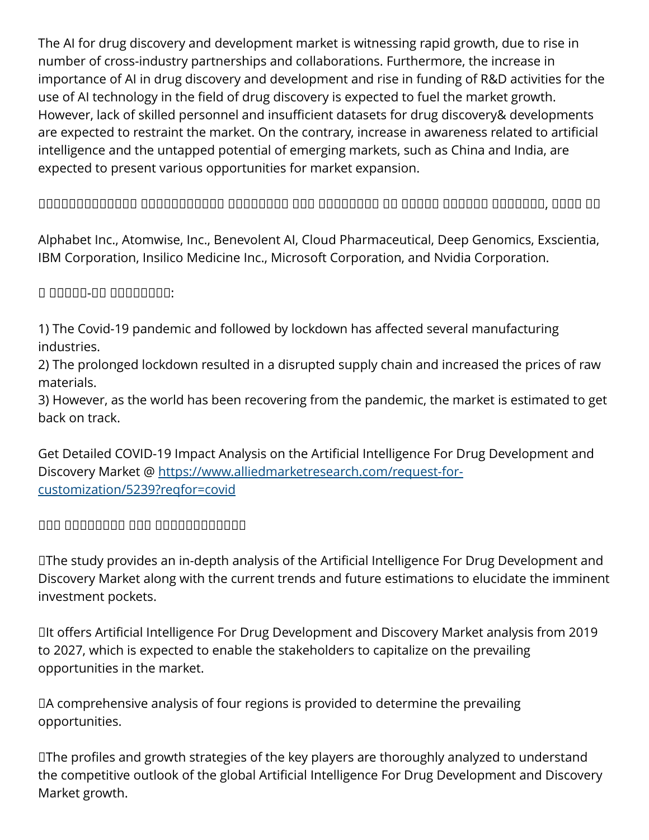The AI for drug discovery and development market is witnessing rapid growth, due to rise in number of cross-industry partnerships and collaborations. Furthermore, the increase in importance of AI in drug discovery and development and rise in funding of R&D activities for the use of AI technology in the field of drug discovery is expected to fuel the market growth. However, lack of skilled personnel and insufficient datasets for drug discovery& developments are expected to restraint the market. On the contrary, increase in awareness related to artificial intelligence and the untapped potential of emerging markets, such as China and India, are expected to present various opportunities for market expansion.

 $\Box$ 

Alphabet Inc., Atomwise, Inc., Benevolent AI, Cloud Pharmaceutical, Deep Genomics, Exscientia, IBM Corporation, Insilico Medicine Inc., Microsoft Corporation, and Nvidia Corporation.

ὣ ᵀᵂᵂᵂᵁ-ᵼᵽ ᵁᵁᵁᵂᵁᵂᵂᵂ:

1) The Covid-19 pandemic and followed by lockdown has affected several manufacturing industries.

2) The prolonged lockdown resulted in a disrupted supply chain and increased the prices of raw materials.

3) However, as the world has been recovering from the pandemic, the market is estimated to get back on track.

Get Detailed COVID-19 Impact Analysis on the Artificial Intelligence For Drug Development and Discovery Market @ [https://www.alliedmarketresearch.com/request-for](https://www.alliedmarketresearch.com/request-for-customization/5239?reqfor=covid)[customization/5239?reqfor=covid](https://www.alliedmarketresearch.com/request-for-customization/5239?reqfor=covid)

 $\Box$ 

✦The study provides an in-depth analysis of the Artificial Intelligence For Drug Development and Discovery Market along with the current trends and future estimations to elucidate the imminent investment pockets.

✦It offers Artificial Intelligence For Drug Development and Discovery Market analysis from 2019 to 2027, which is expected to enable the stakeholders to capitalize on the prevailing opportunities in the market.

✦A comprehensive analysis of four regions is provided to determine the prevailing opportunities.

✦The profiles and growth strategies of the key players are thoroughly analyzed to understand the competitive outlook of the global Artificial Intelligence For Drug Development and Discovery Market growth.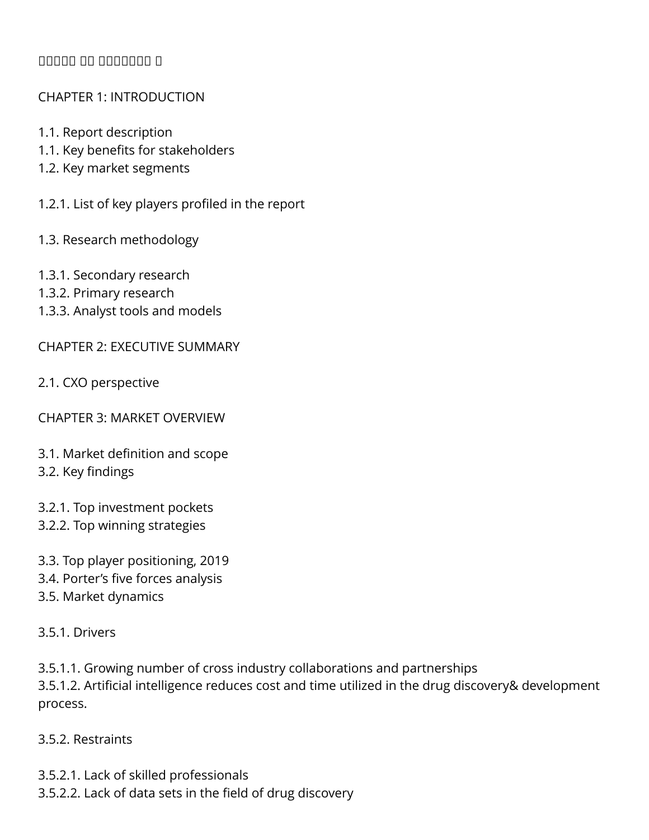### **ØØØØØ** Ø

#### CHAPTER 1: INTRODUCTION

- 1.1. Report description
- 1.1. Key benefits for stakeholders
- 1.2. Key market segments
- 1.2.1. List of key players profiled in the report
- 1.3. Research methodology
- 1.3.1. Secondary research
- 1.3.2. Primary research
- 1.3.3. Analyst tools and models

CHAPTER 2: EXECUTIVE SUMMARY

- 2.1. CXO perspective
- CHAPTER 3: MARKET OVERVIEW
- 3.1. Market definition and scope 3.2. Key findings
- 3.2.1. Top investment pockets
- 3.2.2. Top winning strategies
- 3.3. Top player positioning, 2019
- 3.4. Porter's five forces analysis
- 3.5. Market dynamics

#### 3.5.1. Drivers

- 3.5.1.1. Growing number of cross industry collaborations and partnerships
- 3.5.1.2. Artificial intelligence reduces cost and time utilized in the drug discovery& development process.
- 3.5.2. Restraints
- 3.5.2.1. Lack of skilled professionals
- 3.5.2.2. Lack of data sets in the field of drug discovery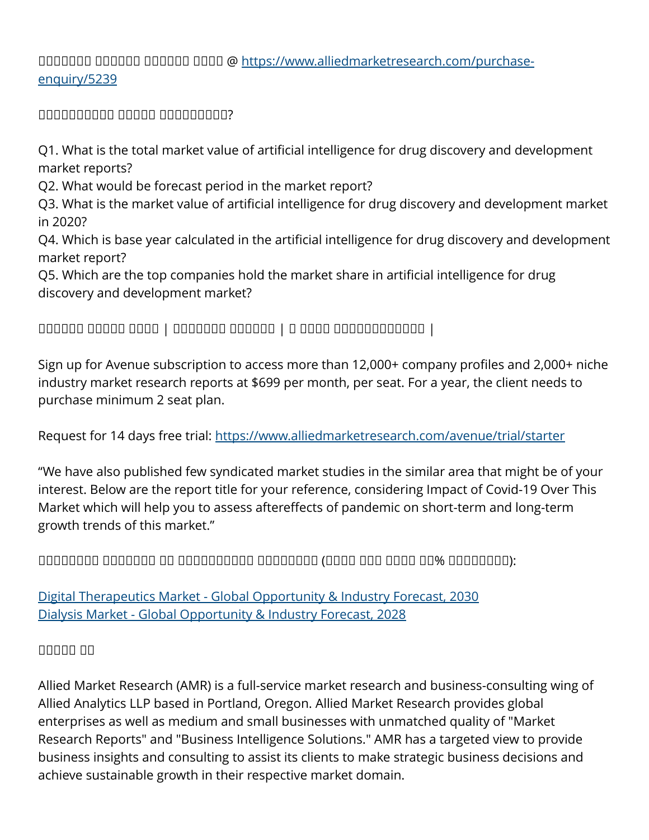# ᵝᵟᵟᵠᵟᵟᵟ ᵝᵟᵟᵟᵟᵟ ᵝᵠᵠᵟᵟᵟ ᵝᵟᵟᵟ @ [https://www.alliedmarketresearch.com/purchase](https://www.alliedmarketresearch.com/purchase-enquiry/5239)[enquiry/5239](https://www.alliedmarketresearch.com/purchase-enquiry/5239)

ᵝᵟᵟᵟᵠᵟᵟᵠᵟᵠ ᵝᵠᵟᵟᵟ ᵞᵠᵟᵠᵠᵟᵟᵟᵠ?

Q1. What is the total market value of artificial intelligence for drug discovery and development market reports?

Q2. What would be forecast period in the market report?

Q3. What is the market value of artificial intelligence for drug discovery and development market in 2020?

Q4. Which is base year calculated in the artificial intelligence for drug discovery and development market report?

Q5. Which are the top companies hold the market share in artificial intelligence for drug discovery and development market?

# ᵝᵠᵟᵟᵠᵟ ᵝᵞᵠᵟᵟ ᵞᵟᵞᵟ | ᵝᵟᵞᵟᵞᵟᵠ ᵝᵟᵟᵟᵠᵠ | ᵾ ᵞᵟᵞᵟ ᵞᵠᵞᵠᵟᵟᵟᵟᵠᵟᵟᵟ |

Sign up for Avenue subscription to access more than 12,000+ company profiles and 2,000+ niche industry market research reports at \$699 per month, per seat. For a year, the client needs to purchase minimum 2 seat plan.

Request for 14 days free trial:<https://www.alliedmarketresearch.com/avenue/trial/starter>

"We have also published few syndicated market studies in the similar area that might be of your interest. Below are the report title for your reference, considering Impact of Covid-19 Over This Market which will help you to assess aftereffects of pandemic on short-term and long-term growth trends of this market."

 $\Box$ 

[Digital Therapeutics Market - Global Opportunity & Industry Forecast, 2030](https://www.alliedmarketresearch.com/digital-therapeutics-market) [Dialysis Market - Global Opportunity & Industry Forecast, 2028](https://www.alliedmarketresearch.com/dialysis-market)

# ᵝᵞᵟᵠᵠ ᵞᵠ

Allied Market Research (AMR) is a full-service market research and business-consulting wing of Allied Analytics LLP based in Portland, Oregon. Allied Market Research provides global enterprises as well as medium and small businesses with unmatched quality of "Market Research Reports" and "Business Intelligence Solutions." AMR has a targeted view to provide business insights and consulting to assist its clients to make strategic business decisions and achieve sustainable growth in their respective market domain.